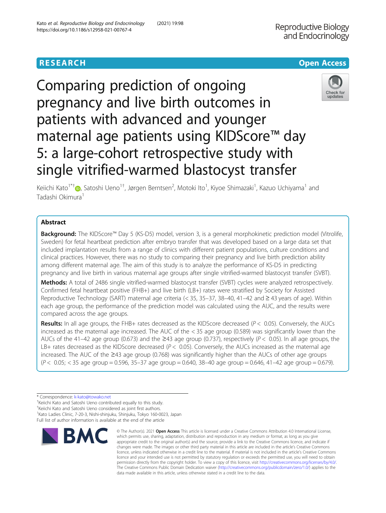# **RESEARCH CHE Open Access**





Keiichi Kato<sup>1\*†</sup>�, Satoshi Ueno<sup>1†</sup>, Jørgen Berntsen<sup>2</sup>, Motoki Ito<sup>1</sup>, Kiyoe Shimazaki<sup>1</sup>, Kazuo Uchiyama<sup>1</sup> and Tadashi Okimura<sup>1</sup>

# Abstract

**Background:** The KIDScore™ Day 5 (KS-D5) model, version 3, is a general morphokinetic prediction model (Vitrolife, Sweden) for fetal heartbeat prediction after embryo transfer that was developed based on a large data set that included implantation results from a range of clinics with different patient populations, culture conditions and clinical practices. However, there was no study to comparing their pregnancy and live birth prediction ability among different maternal age. The aim of this study is to analyze the performance of KS-D5 in predicting pregnancy and live birth in various maternal age groups after single vitrified-warmed blastocyst transfer (SVBT).

Methods: A total of 2486 single vitrified-warmed blastocyst transfer (SVBT) cycles were analyzed retrospectively. Confirmed fetal heartbeat positive (FHB+) and live birth (LB+) rates were stratified by Society for Assisted Reproductive Technology (SART) maternal age criteria (< 35, 35–37, 38–40, 41–42 and ≥ 43 years of age). Within each age group, the performance of the prediction model was calculated using the AUC, and the results were compared across the age groups.

**Results:** In all age groups, the FHB+ rates decreased as the KIDScore decreased ( $P < 0.05$ ). Conversely, the AUCs increased as the maternal age increased. The AUC of the < 35 age group (0.589) was significantly lower than the AUCs of the 41–42 age group (0.673) and the ≥43 age group (0.737), respectively ( $P < 0.05$ ). In all age groups, the LB+ rates decreased as the KIDScore decreased ( $P < 0.05$ ). Conversely, the AUCs increased as the maternal age increased. The AUC of the ≥43 age group (0.768) was significantly higher than the AUCs of other age groups (P < 0.05; < 35 age group = 0.596, 35–37 age group = 0.640, 38–40 age group = 0.646, 41–42 age group = 0.679).

† Keiichi Kato and Satoshi Ueno considered as joint first authors.

<sup>1</sup> Kato Ladies Clinic, 7-20-3, Nishi-shinjuku, Shinjuku, Tokyo 160-0023, Japan Full list of author information is available at the end of the article



<sup>©</sup> The Author(s), 2021 **Open Access** This article is licensed under a Creative Commons Attribution 4.0 International License, which permits use, sharing, adaptation, distribution and reproduction in any medium or format, as long as you give appropriate credit to the original author(s) and the source, provide a link to the Creative Commons licence, and indicate if changes were made. The images or other third party material in this article are included in the article's Creative Commons licence, unless indicated otherwise in a credit line to the material. If material is not included in the article's Creative Commons licence and your intended use is not permitted by statutory regulation or exceeds the permitted use, you will need to obtain permission directly from the copyright holder. To view a copy of this licence, visit [http://creativecommons.org/licenses/by/4.0/.](http://creativecommons.org/licenses/by/4.0/) The Creative Commons Public Domain Dedication waiver [\(http://creativecommons.org/publicdomain/zero/1.0/](http://creativecommons.org/publicdomain/zero/1.0/)) applies to the data made available in this article, unless otherwise stated in a credit line to the data.

<sup>\*</sup> Correspondence: [k-kato@towako.net](mailto:k-kato@towako.net) †

Keiichi Kato and Satoshi Ueno contributed equally to this study.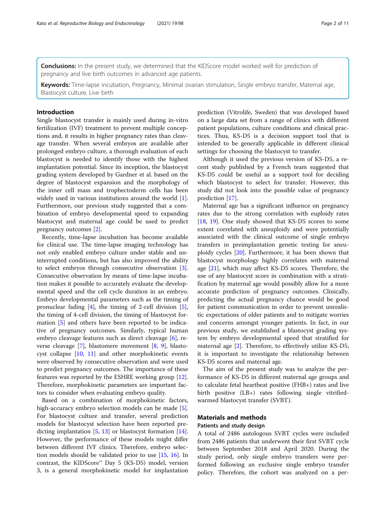**Conclusions:** In the present study, we determined that the KIDScore model worked well for prediction of pregnancy and live birth outcomes in advanced age patients.

Keywords: Time-lapse incubation, Pregnancy, Minimal ovarian stimulation, Single embryo transfer, Maternal age, Blastocyst culture, Live birth

# Introduction

Single blastocyst transfer is mainly used during in-vitro fertilization (IVF) treatment to prevent multiple conceptions and, it results in higher pregnancy rates than cleavage transfer. When several embryos are available after prolonged embryo culture, a thorough evaluation of each blastocyst is needed to identify those with the highest implantation potential. Since its inception, the blastocyst grading system developed by Gardner et al. based on the degree of blastocyst expansion and the morphology of the inner cell mass and trophectoderm cells has been widely used in various institutions around the world [\[1](#page-9-0)]. Furthermore, our previous study suggested that a combination of embryo developmental speed to expanding blastocyst and maternal age could be used to predict pregnancy outcomes [\[2](#page-9-0)].

Recently, time-lapse incubation has become available for clinical use. The time-lapse imaging technology has not only enabled embryo culture under stable and uninterrupted conditions, but has also improved the ability to select embryos through consecutive observation [\[3](#page-9-0)]. Consecutive observation by means of time-lapse incubation makes it possible to accurately evaluate the developmental speed and the cell cycle duration in an embryo. Embryo developmental parameters such as the timing of pronuclear fading [\[4](#page-9-0)], the timing of 2-cell division [\[5](#page-9-0)], the timing of 4-cell division, the timing of blastocyst formation [[5](#page-9-0)] and others have been reported to be indicative of pregnancy outcomes. Similarly, typical human embryo cleavage features such as direct cleavage [\[6](#page-9-0)], reverse cleavage [[7\]](#page-10-0), blastomere movement [\[8,](#page-10-0) [9](#page-10-0)], blastocyst collapse [\[10,](#page-10-0) [11\]](#page-10-0) and other morphokinetic events were observed by consecutive observation and were used to predict pregnancy outcomes. The importance of these features was reported by the ESHRE working group [\[12](#page-10-0)]. Therefore, morphokinetic parameters are important factors to consider when evaluating embryo quality.

Based on a combination of morphokinetic factors, high-accuracy embryo selection models can be made [\[5](#page-9-0)]. For blastocyst culture and transfer, several prediction models for blastocyst selection have been reported predicting implantation [[5](#page-9-0), [13\]](#page-10-0) or blastocyst formation [\[14](#page-10-0)]. However, the performance of these models might differ between different IVF clinics. Therefore, embryo selection models should be validated prior to use [[15,](#page-10-0) [16](#page-10-0)]. In contrast, the KIDScore<sup>™</sup> Day 5 (KS-D5) model, version 3, is a general morphokinetic model for implantation prediction (Vitrolife, Sweden) that was developed based on a large data set from a range of clinics with different patient populations, culture conditions and clinical practices. Thus, KS-D5 is a decision support tool that is intended to be generally applicable in different clinical settings for choosing the blastocyst to transfer.

Although it used the previous version of KS-D5, a recent study published by a French team suggested that KS-D5 could be useful as a support tool for deciding which blastocyst to select for transfer. However, this study did not look into the possible value of pregnancy prediction [[17](#page-10-0)].

Maternal age has a significant influence on pregnancy rates due to the strong correlation with euploidy rates [[18,](#page-10-0) [19\]](#page-10-0). One study showed that KS-D5 scores to some extent correlated with aneuploidy and were potentially associated with the clinical outcome of single embryo transfers in preimplantation genetic testing for aneuploidy cycles [[20\]](#page-10-0). Furthermore, it has been shown that blastocyst morphology highly correlates with maternal age [[21\]](#page-10-0), which may affect KS-D5 scores. Therefore, the use of any blastocyst score in combination with a stratification by maternal age would possibly allow for a more accurate prediction of pregnancy outcomes. Clinically, predicting the actual pregnancy chance would be good for patient communication in order to prevent unrealistic expectations of older patients and to mitigate worries and concerns amongst younger patients. In fact, in our previous study, we established a blastocyst grading system by embryo developmental speed that stratified for maternal age [[2\]](#page-9-0). Therefore, to effectively utilize KS-D5, it is important to investigate the relationship between KS-D5 scores and maternal age.

The aim of the present study was to analyze the performance of KS-D5 in different maternal age groups and to calculate fetal heartbeat positive (FHB+) rates and live birth positive (LB+) rates following single vitrifiedwarmed blastocyst transfer (SVBT).

# Materials and methods

# Patients and study design

A total of 2486 autologous SVBT cycles were included from 2486 patients that underwent their first SVBT cycle between September 2018 and April 2020. During the study period, only single embryo transfers were performed following an exclusive single embryo transfer policy. Therefore, the cohort was analyzed on a per-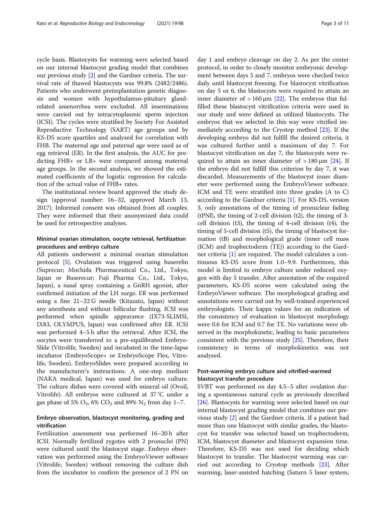cycle basis. Blastocysts for warming were selected based on our internal blastocyst grading model that combines our previous study [\[2](#page-9-0)] and the Gardner criteria. The survival rate of thawed blastocysts was 99.8% (2482/2486). Patients who underwent preimplantation genetic diagnosis and women with hypothalamus-pituitary glandrelated amenorrhea were excluded. All inseminations were carried out by intracytoplasmic sperm injection (ICSI). The cycles were stratified by Society For Assisted Reproductive Technology (SART) age groups and by KS-D5 score quartiles and analyzed for correlation with FHB. The maternal age and paternal age were used as of egg retrieval (ER). In the first analysis, the AUC for predicting FHB+ or LB+ were compared among maternal age groups. In the second analysis, we showed the estimated coefficients of the logistic regression for calculation of the actual value of FHB+ rates.

The institutional review board approved the study design (approval number: 16–32, approved March 13, 2017). Informed consent was obtained from all couples. They were informed that their anonymized data could be used for retrospective analyses.

# Minimal ovarian stimulation, oocyte retrieval, fertilization procedures and embryo culture

All patients underwent a minimal ovarian stimulation protocol [\[5\]](#page-9-0). Ovulation was triggered using buserelin (Suprecur; Mochida Pharmaceutical Co., Ltd., Tokyo, Japan or Buserecur; Fuji Pharma Co., Ltd., Tokyo, Japan), a nasal spray containing a GnRH agonist, after confirmed initiation of the LH surge. ER was performed using a fine 21–22 G needle (Kitazato, Japan) without any anesthesia and without follicular flushing. ICSI was performed when spindle appearance (IX73-SLIMSI, IX83, OLYMPUS, Japan) was confirmed after ER. ICSI was performed 4–5 h after the retrieval. After ICSI, the oocytes were transferred to a pre-equilibrated Embryo-Slide (Vitrolife, Sweden) and incubated in the time-lapse incubator (EmbryoScope+ or EmbryoScope Flex, Vitrolife, Sweden). EmbryoSlides were prepared according to the manufacturer's instructions. A one-step medium (NAKA medical, Japan) was used for embryo culture. The culture dishes were covered with mineral oil (Ovoil, Vitrolife). All embryos were cultured at 37 °C under a gas phase of 5%  $O_2$ , 6%  $CO_2$  and 89%  $N_2$  from day 1–7.

# Embryo observation, blastocyst monitoring, grading and vitrification

Fertilization assessment was performed 16–20 h after ICSI. Normally fertilized zygotes with 2 pronuclei (PN) were cultured until the blastocyst stage. Embryo observation was performed using the EmbryoViewer software (Vitrolife, Sweden) without removing the culture dish from the incubator to confirm the presence of 2 PN on day 1 and embryo cleavage on day 2. As per the center protocol, in order to closely monitor embryonic development between days 5 and 7, embryos were checked twice daily until blastocyst freezing. For blastocyst vitrification on day 5 or 6, the blastocysts were required to attain an inner diameter of  $> 160 \mu m$  [\[22](#page-10-0)]. The embryos that fulfilled these blastocyst vitrification criteria were used in our study and were defined as utilized blastocysts. The embryos that we selected in this way were vitrified immediately according to the Cryotop method [[23](#page-10-0)]. If the developing embryo did not fulfill the desired criteria, it was cultured further until a maximum of day 7. For blastocyst vitrification on day 7, the blastocysts were required to attain an inner diameter of  $> 180 \,\mu m$  [[24\]](#page-10-0). If the embryo did not fulfill this criterion by day 7, it was discarded. Measurements of the blastocyst inner diameter were performed using the EmbryoViewer software. ICM and TE were stratified into three grades (A to C) according to the Gardner criteria [[1\]](#page-9-0). For KS-D5, version 3, only annotations of the timing of pronuclear fading (tPNf), the timing of 2-cell division (t2), the timing of 3 cell division (t3), the timing of 4-cell division (t4), the timing of 5-cell division (t5), the timing of blastocyst formation (tB) and morphological grade (inner cell mass (ICM) and trophectoderm (TE)) according to the Gardner criteria [\[1](#page-9-0)] are required. The model calculates a continuous KS-D5 score from 1.0–9.9. Furthermore, this model is limited to embryo culture under reduced oxygen with day 5 transfer. After annotation of the required parameters, KS-D5 scores were calculated using the EmbryoViewer software. The morphological grading and annotations were carried out by well-trained experienced embryologists. Their kappa values for an indication of the consistency of evaluation in blastocyst morphology were 0.6 for ICM and 0.7 for TE. No variations were observed in the morphokinetic, leading to basic parameters consistent with the previous study [[25](#page-10-0)]. Therefore, their consistency in terms of morphokinetics was not analyzed.

# Post-warming embryo culture and vitrified-warmed blastocyst transfer procedure

SVBT was performed on day 4.5–5 after ovulation during a spontaneous natural cycle as previously described [[26\]](#page-10-0). Blastocysts for warming were selected based on our internal blastocyst grading model that combines our previous study [[2](#page-9-0)] and the Gardner criteria. If a patient had more than one blastocyst with similar grades, the blastocyst for transfer was selected based on trophectoderm, ICM, blastocyst diameter and blastocyst expansion time. Therefore, KS-D5 was not used for deciding which blastocyst to transfer. The blastocyst warming was carried out according to Cryotop methods [\[23](#page-10-0)]. After warming, laser-assisted hatching (Saturn 5 laser system,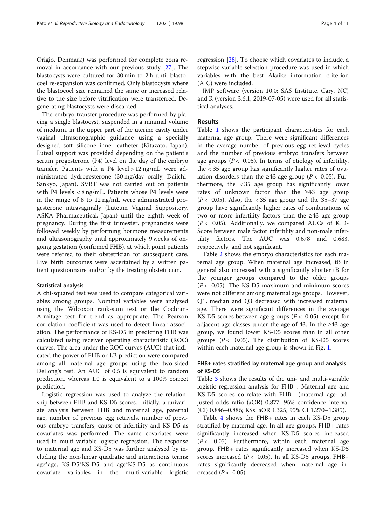Origio, Denmark) was performed for complete zona removal in accordance with our previous study [\[27\]](#page-10-0). The blastocysts were cultured for 30 min to 2 h until blastocoel re-expansion was confirmed. Only blastocysts where the blastocoel size remained the same or increased relative to the size before vitrification were transferred. Degenerating blastocysts were discarded.

The embryo transfer procedure was performed by placing a single blastocyst, suspended in a minimal volume of medium, in the upper part of the uterine cavity under vaginal ultrasonographic guidance using a specially designed soft silicone inner catheter (Kitazato, Japan). Luteal support was provided depending on the patient's serum progesterone (P4) level on the day of the embryo transfer. Patients with a P4 level > 12 ng/mL were administrated dydrogesterone (30 mg/day orally, Daiichi-Sankyo, Japan). SVBT was not carried out on patients with P4 levels < 8 ng/mL. Patients whose P4 levels were in the range of 8 to 12 ng/mL were administrated progesterone intravaginally (Luteum Vaginal Suppository, ASKA Pharmaceutical, Japan) until the eighth week of pregnancy. During the first trimester, pregnancies were followed weekly by performing hormone measurements and ultrasonography until approximately 9 weeks of ongoing gestation (confirmed FHB), at which point patients were referred to their obstetrician for subsequent care. Live birth outcomes were ascertained by a written patient questionnaire and/or by the treating obstetrician.

### Statistical analysis

A chi-squared test was used to compare categorical variables among groups. Nominal variables were analyzed using the Wilcoxon rank-sum test or the Cochran-Armitage test for trend as appropriate. The Pearson correlation coefficient was used to detect linear association. The performance of KS-D5 in predicting FHB was calculated using receiver operating characteristic (ROC) curves. The area under the ROC curves (AUC) that indicated the power of FHB or LB prediction were compared among all maternal age groups using the two-sided DeLong's test. An AUC of 0.5 is equivalent to random prediction, whereas 1.0 is equivalent to a 100% correct prediction.

Logistic regression was used to analyze the relationship between FHB and KS-D5 scores. Initially, a univariate analysis between FHB and maternal age, paternal age, number of previous egg retrivals, number of previous embryo transfers, cause of infertility and KS-D5 as covariates was performed. The same covariates were used in multi-variable logistic regression. The response to maternal age and KS-D5 was further analysed by including the non-linear quadratic and interactions terms: age\*age, KS-D5\*KS-D5 and age\*KS-D5 as continuous covariate variables in the multi-variable logistic regression [[28](#page-10-0)]. To choose which covariates to include, a stepwise variable selection procedure was used in which variables with the best Akaike information criterion (AIC) were included.

JMP software (version 10.0; SAS Institute, Cary, NC) and R (version 3.6.1, 2019-07-05) were used for all statistical analyses.

# Results

Table [1](#page-4-0) shows the participant characteristics for each maternal age group. There were significant differences in the average number of previous egg retrieval cycles and the number of previous embryo transfers between age groups ( $P < 0.05$ ). In terms of etiology of infertility, the < 35 age group has significantly higher rates of ovulation disorders than the ≥43 age group ( $P < 0.05$ ). Furthermore, the < 35 age group has significantly lower rates of unknown factor than the ≥43 age group  $(P< 0.05)$ . Also, the < 35 age group and the 35–37 age group have significantly higher rates of combinations of two or more infertility factors than the ≥43 age group  $(P< 0.05)$ . Additionally, we compared AUCs of KID-Score between male factor infertility and non-male infertility factors. The AUC was 0.678 and 0.683, respectively, and not significant.

Table [2](#page-4-0) shows the embryo characteristics for each maternal age group. When maternal age increased, tB in general also increased with a significantly shorter tB for the younger groups compared to the older groups  $(P< 0.05)$ . The KS-D5 maximum and minimum scores were not different among maternal age groups. However, Q1, median and Q3 decreased with increased maternal age. There were significant differences in the average KS-D5 scores between age groups ( $P < 0.05$ ), except for adjacent age classes under the age of 43. In the ≥43 age group, we found lower KS-D5 scores than in all other groups ( $P < 0.05$ ). The distribution of KS-D5 scores within each maternal age group is shown in Fig. [1](#page-5-0).

# FHB+ rates stratified by maternal age group and analysis of KS-D5

Table [3](#page-5-0) shows the results of the uni- and multi-variable logistic regression analysis for FHB+. Maternal age and KS-D5 scores correlate with FHB+ (maternal age: adjusted odds ratio (aOR) 0.877, 95% confidence interval (CI) 0.846–0.886; KSs: aOR 1.325, 95% CI 1.270–1.385).

Table [4](#page-6-0) shows the FHB+ rates in each KS-D5 group stratified by maternal age. In all age groups, FHB+ rates significantly increased when KS-D5 scores increased  $(P < 0.05)$ . Furthermore, within each maternal age group, FHB+ rates significantly increased when KS-D5 scores increased ( $P < 0.05$ ). In all KS-D5 groups, FHB+ rates significantly decreased when maternal age increased  $(P < 0.05)$ .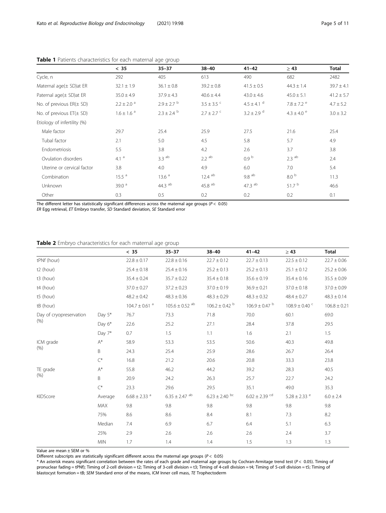|                              | $<$ 35                     | $35 - 37$                  | $38 - 40$               | $41 - 42$                  | $\geq 43$                  | <b>Total</b>   |
|------------------------------|----------------------------|----------------------------|-------------------------|----------------------------|----------------------------|----------------|
| Cycle, n                     | 292                        | 405                        | 613                     | 490                        | 682                        | 2482           |
| Maternal $aqe(\pm SD)$ at ER | $32.1 \pm 1.9$             | $36.1 \pm 0.8$             | $39.2 \pm 0.8$          | $41.5 \pm 0.5$             | $44.3 \pm 1.4$             | $39.7 \pm 4.1$ |
| Paternal age(± SD)at ER      | $35.0 \pm 4.9$             | $37.9 \pm 4.3$             | $40.6 \pm 4.4$          | $43.0 \pm 4.6$             | $45.0 \pm 5.1$             | $41.2 \pm 5.7$ |
| No. of previous $ER(\pm SD)$ | $2.2 \pm 2.0$ <sup>a</sup> | $2.9 \pm 2.7$ <sup>b</sup> | $3.5 \pm 3.5$ $\degree$ | $4.5 \pm 4.1$ <sup>d</sup> | $7.8 \pm 7.2$ <sup>e</sup> | $4.7 \pm 5.2$  |
| No. of previous $ET(\pm SD)$ | $1.6 \pm 1.6$ <sup>a</sup> | $2.3 \pm 2.4$ b            | $2.7 \pm 2.7$ c         | $3.2 \pm 2.9$ <sup>d</sup> | $4.3 \pm 4.0$ <sup>e</sup> | $3.0 \pm 3.2$  |
| Etiology of infertility (%)  |                            |                            |                         |                            |                            |                |
| Male factor                  | 29.7                       | 25.4                       | 25.9                    | 27.5                       | 21.6                       | 25.4           |
| Tubal factor                 | 2.1                        | 5.0                        | 4.5                     | 5.8                        | 5.7                        | 4.9            |
| Endometriosis                | 5.5                        | 3.8                        | 4.2                     | 2.6                        | 3.7                        | 3.8            |
| Ovulation disorders          | 4.1 $^{\circ}$             | $3.3$ <sup>ab</sup>        | $2.2$ <sup>ab</sup>     | 0.9 <sup>b</sup>           | $2.3$ <sup>ab</sup>        | 2.4            |
| Uterine or cervical factor   | 3.8                        | 4.0                        | 4.9                     | 6.0                        | 7.0                        | 5.4            |
| Combination                  | 15.5 <sup>a</sup>          | 13.6 <sup>a</sup>          | $12.4$ <sup>ab</sup>    | 9.8 <sup>ab</sup>          | 8.0 <sup>b</sup>           | 11.3           |
| <b>Unknown</b>               | 39.0 $a$                   | 44.3 $\mathrm{^{ab}}$      | $45.8$ $^{\rm ab}$      | 47.3 ab                    | 51.7 <sup>b</sup>          | 46.6           |
| Other                        | 0.3                        | 0.5                        | 0.2                     | 0.2                        | 0.2                        | 0.1            |

<span id="page-4-0"></span>

|  | Table 1 Patients characteristics for each maternal age group |  |  |  |
|--|--------------------------------------------------------------|--|--|--|
|  |                                                              |  |  |  |

The different letter has statistically significant differences across the maternal age groups ( $P < 0.05$ )

ER Egg retrieval, ET Embryo transfer, SD Standard deviation, SE Standard error

# Table 2 Embryo characteristics for each maternal age group

|                         |            | $< 35$                    | $35 - 37$                      | $38 - 40$                 | $41 - 42$                     | $\geq 43$                     | Total            |
|-------------------------|------------|---------------------------|--------------------------------|---------------------------|-------------------------------|-------------------------------|------------------|
| tPNf (hour)             |            | $22.8 \pm 0.17$           | $22.8 \pm 0.16$                | $22.7 \pm 0.12$           | $22.7 \pm 0.13$               | $22.5 \pm 0.12$               | $22.7 \pm 0.06$  |
| t2 (hour)               |            | $25.4 \pm 0.18$           | $25.4 \pm 0.16$                | $25.2 \pm 0.13$           | $25.2 \pm 0.13$               | $25.1 \pm 0.12$               | $25.2 \pm 0.06$  |
| t3 (hour)               |            | $35.4 \pm 0.24$           | $35.7 \pm 0.22$                | $35.4 \pm 0.18$           | $35.6 \pm 0.19$               | $35.4 \pm 0.16$               | $35.5 \pm 0.09$  |
| t4 (hour)               |            | $37.0 \pm 0.27$           | $37.2 \pm 0.23$                | $37.0 \pm 0.19$           | $36.9 \pm 0.21$               | $37.0 \pm 0.18$               | $37.0 \pm 0.09$  |
| t5 (hour)               |            | $48.2 \pm 0.42$           | $48.3 \pm 0.36$                | $48.3 \pm 0.29$           | $48.3 \pm 0.32$               | $48.4 \pm 0.27$               | $48.3 \pm 0.14$  |
| tB (hour)               |            | $104.7\pm0.61$ $^{\rm a}$ | $105.6 \pm 0.52$ <sup>ab</sup> | $106.2 \pm 0.42$ b        | $106.9 \pm 0.47$ b            | $108.9 \pm 0.40$ <sup>c</sup> | $106.8 \pm 0.21$ |
| Day of cryopreservation | Day $5^*$  | 76.7                      | 73.3                           | 71.8                      | 70.0                          | 60.1                          | 69.0             |
| (% )                    | Day 6*     | 22.6                      | 25.2                           | 27.1                      | 28.4                          | 37.8                          | 29.5             |
|                         | Day 7*     | 0.7                       | 1.5                            | 1.1                       | 1.6                           | 2.1                           | 1.5              |
| ICM grade               | A*         | 58.9                      | 53.3                           | 53.5                      | 50.6                          | 40.3                          | 49.8             |
| (% )                    | B          | 24.3                      | 25.4                           | 25.9                      | 28.6                          | 26.7                          | 26.4             |
|                         | $C^*$      | 16.8                      | 21.2                           | 20.6                      | 20.8                          | 33.3                          | 23.8             |
| TE grade<br>(% )        | $A^*$      | 55.8                      | 46.2                           | 44.2                      | 39.2                          | 28.3                          | 40.5             |
|                         | B          | 20.9                      | 24.2                           | 26.3                      | 25.7                          | 22.7                          | 24.2             |
|                         | $C^*$      | 23.3                      | 29.6                           | 29.5                      | 35.1                          | 49.0                          | 35.3             |
| KIDScore                | Average    | $6.68\pm2.33$ $^{\rm a}$  | $6.35\pm2.47$ $^{\rm ab}$      | $6.23\pm2.40$ $^{\rm bc}$ | $6.02 \pm 2.39$ <sup>cd</sup> | $5.28 \pm 2.33$ <sup>e</sup>  | $6.0 \pm 2.4$    |
|                         | MAX        | 9.8                       | 9.8                            | 9.8                       | 9.8                           | 9.8                           | 9.8              |
|                         | 75%        | 8.6                       | 8.6                            | 8.4                       | 8.1                           | 7.3                           | 8.2              |
|                         | Median     | 7.4                       | 6.9                            | 6.7                       | 6.4                           | 5.1                           | 6.3              |
|                         | 25%        | 2.9                       | 2.6                            | 2.6                       | 2.6                           | 2.4                           | 3.7              |
|                         | <b>MIN</b> | 1.7                       | 1.4                            | 1.4                       | 1.5                           | 1.3                           | 1.3              |

Value are mean ± SEM or %

Different subscripts are statistically significant different across the maternal age groups ( $P < 0.05$ )

 $^*$  An asterisk means significant correlation between the rates of each grade and maternal age groups by Cochran-Armitage trend test (P < 0.05). Timing of pronuclear fading = tPNf); Timing of 2-cell division = t2; Timing of 3-cell division = t3; Timing of 4-cell division = t4; Timing of 5-cell division = t5; Timing of blastocyst formation = tB; SEM Standard error of the means, ICM Inner cell mass, TE Trophectoderm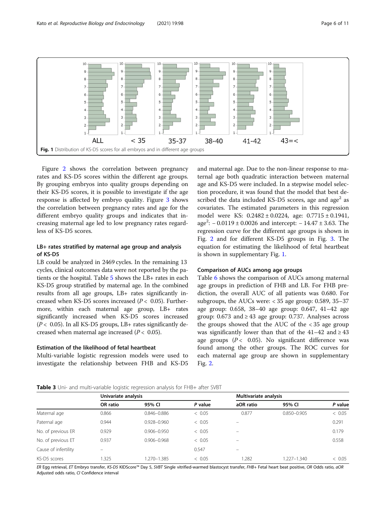<span id="page-5-0"></span>

Figure [2](#page-6-0) shows the correlation between pregnancy rates and KS-D5 scores within the different age groups. By grouping embryos into quality groups depending on their KS-D5 scores, it is possible to investigate if the age response is affected by embryo quality. Figure [3](#page-7-0) shows the correlation between pregnancy rates and age for the different embryo quality groups and indicates that increasing maternal age led to low pregnancy rates regardless of KS-D5 scores.

# LB+ rates stratified by maternal age group and analysis of KS-D5

LB could be analyzed in 2469 cycles. In the remaining 13 cycles, clinical outcomes data were not reported by the patients or the hospital. Table [5](#page-7-0) shows the LB+ rates in each KS-D5 group stratified by maternal age. In the combined results from all age groups, LB+ rates significantly increased when KS-D5 scores increased ( $P < 0.05$ ). Furthermore, within each maternal age group, LB+ rates significantly increased when KS-D5 scores increased  $(P < 0.05)$ . In all KS-D5 groups, LB+ rates significantly decreased when maternal age increased ( $P < 0.05$ ).

# Estimation of the likelihood of fetal heartbeat

Multi-variable logistic regression models were used to investigate the relationship between FHB and KS-D5

and maternal age. Due to the non-linear response to maternal age both quadratic interaction between maternal age and KS-D5 were included. In a stepwise model selection procedure, it was found that the model that best described the data included KS-D5 scores, age and age<sup>2</sup> as covariates. The estimated parameters in this regression model were KS: 0.2482 ± 0.0224, age: 0.7715 ± 0.1941, age<sup>2</sup> : − 0.0119 ± 0.0026 and intercept: − 14.47 ± 3.63. The regression curve for the different age groups is shown in Fig. [2](#page-6-0) and for different KS-D5 groups in Fig. [3.](#page-7-0) The equation for estimating the likelihood of fetal heartbeat is shown in supplementary Fig. [1.](#page-9-0)

# Comparison of AUCs among age groups

Table [6](#page-8-0) shows the comparison of AUCs among maternal age groups in prediction of FHB and LB. For FHB prediction, the overall AUC of all patients was 0.680. For subgroups, the AUCs were: < 35 age group: 0.589, 35–37 age group: 0.658, 38–40 age group: 0.647, 41–42 age group: 0.673 and  $\geq$  43 age group: 0.737. Analyses across the groups showed that the AUC of the < 35 age group was significantly lower than that of the  $41-42$  and  $\geq 43$ age groups ( $P < 0.05$ ). No significant difference was found among the other groups. The ROC curves for each maternal age group are shown in supplementary Fig. [2](#page-9-0).

#### **Table 3** Uni- and multi-variable logistic regression analysis for FHB+ after SVBT

|                      | Univariate analysis |                 |         | Multivariate analysis    |                 |         |
|----------------------|---------------------|-----------------|---------|--------------------------|-----------------|---------|
|                      | OR ratio            | 95% CI          | P value | aOR ratio                | 95% CI          | P value |
| Maternal age         | 0.866               | $0.846 - 0.886$ | < 0.05  | 0.877                    | $0.850 - 0.905$ | < 0.05  |
| Paternal age         | 0.944               | $0.928 - 0.960$ | < 0.05  | $\overline{\phantom{0}}$ |                 | 0.291   |
| No. of previous ER   | 0.929               | $0.906 - 0.950$ | < 0.05  |                          |                 | 0.179   |
| No. of previous ET   | 0.937               | $0.906 - 0.968$ | < 0.05  | $\qquad \qquad -$        |                 | 0.558   |
| Cause of infertility |                     |                 | 0.547   |                          |                 |         |
| KS-D5 scores         | .325                | 1.270-1.385     | < 0.05  | 1.282                    | 1.227-1.340     | < 0.05  |

ER Egg retrieval, ET Embryo transfer, KS-D5 KIDScore™ Day 5, SVBT Single vitrified-warmed blastocyst transfer, FHB+ Fetal heart beat positive, OR Odds ratio, aOR Adjusted odds ratio, CI Confidence interval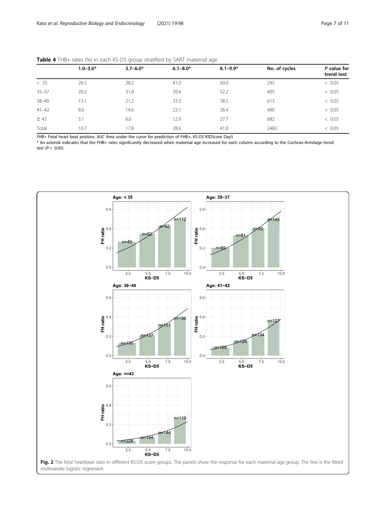<span id="page-6-0"></span>

| Table 4 FHB+ rates (%) in each KS-D5 group stratified by SART maternal age |  |  |
|----------------------------------------------------------------------------|--|--|
|----------------------------------------------------------------------------|--|--|

|           | $\tilde{}$<br>$\tilde{}$ |              |              |              |               |                           |
|-----------|--------------------------|--------------|--------------|--------------|---------------|---------------------------|
|           | $1.0 - 3.6*$             | $3.7 - 6.0*$ | $6.1 - 8.0*$ | $8.1 - 9.9*$ | No. of cycles | P value for<br>trend test |
| < 35      | 26.5                     | 38.2         | 41.0         | 50.0         | 295           | < 0.05                    |
| $35 - 37$ | 20.2                     | 31.8         | 39.4         | 52.2         | 405           | < 0.05                    |
| $38 - 40$ | 13.1                     | 21.2         | 33.3         | 38.5         | 613           | < 0.05                    |
| $41 - 42$ | 8.6                      | 14.6         | 23.1         | 36.4         | 490           | < 0.05                    |
| $\geq 43$ | 3.1                      | 6.6          | 12.9         | 27.7         | 682           | < 0.05                    |
| Total     | 10.7                     | 17.8         | 28.6         | 41.0         | 2482          | < 0.05                    |
|           |                          |              |              |              |               |                           |

FHB+ Fetal heart beat positive, AUC Area under the curve for prediction of FHB+, KS-D5 KIDScore Day5

\* An asterisk indicates that the FHB+ rates significantly decreased when maternal age increased for each column according to the Cochran-Armitage trend test  $(P < 0.05)$ 

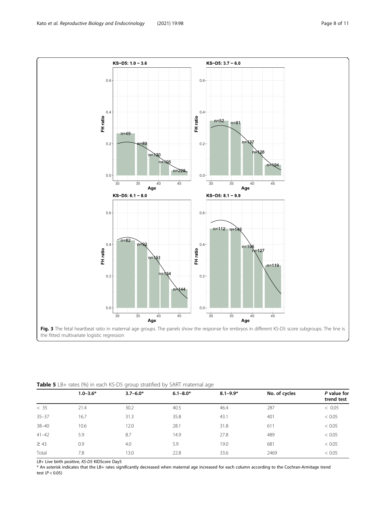<span id="page-7-0"></span>

Table 5 LB+ rates (%) in each KS-D5 group stratified by SART maternal age

|           | $1.0 - 3.6*$ | $3.7 - 6.0*$ | $6.1 - 8.0*$ | $8.1 - 9.9*$ | No. of cycles | P value for<br>trend test |
|-----------|--------------|--------------|--------------|--------------|---------------|---------------------------|
| < 35      | 21.4         | 30.2         | 40.5         | 46.4         | 287           | < 0.05                    |
| $35 - 37$ | 16.7         | 31.3         | 35.8         | 43.1         | 401           | < 0.05                    |
| $38 - 40$ | 10.6         | 12.0         | 28.1         | 31.8         | 611           | < 0.05                    |
| $41 - 42$ | 5.9          | 8.7          | 14.9         | 27.8         | 489           | < 0.05                    |
| $\geq 43$ | 0.9          | 4.0          | 5.9          | 19.0         | 681           | < 0.05                    |
| Total     | 7.8          | 13.0         | 22.8         | 33.6         | 2469          | < 0.05                    |

LB+ Live birth positive, KS-D5 KIDScore Day5

\* An asterisk indicates that the LB+ rates significantly decreased when maternal age increased for each column according to the Cochran-Armitage trend test  $(P < 0.05)$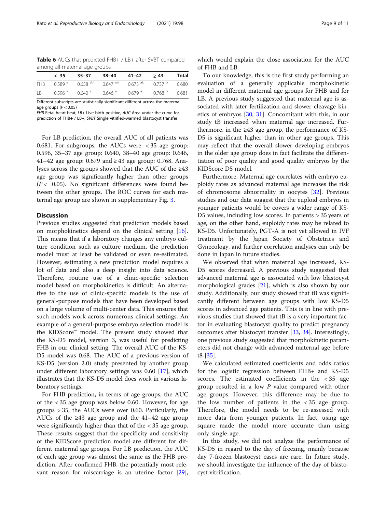<span id="page-8-0"></span>Table 6 AUCs that predicted FHB+ / LB+ after SVBT compared among all maternal age groups

|     | < 35 | 35–37 38–40 41–42 >43 Total                                                                                    |  |  |
|-----|------|----------------------------------------------------------------------------------------------------------------|--|--|
|     |      | FHB 0.589 <sup>a</sup> 0.658 <sup>ab</sup> 0.647 <sup>ab</sup> 0.673 <sup>ab</sup> 0.737 <sup>b</sup> 0.680    |  |  |
| LB. |      | $0.596$ <sup>a</sup> $0.640$ <sup>a</sup> $0.646$ <sup>a</sup> $0.679$ <sup>a</sup> $0.768$ <sup>b</sup> 0.681 |  |  |

Different subscripts are statistically significant different across the maternal age groups ( $P < 0.05$ )

FHB Fetal heart beat, LB+ Live birth positive, AUC Area under the curve for prediction of FHB+ / LB+, SVBT Single vitrified-warmed blastocyst transfer

For LB prediction, the overall AUC of all patients was 0.681. For subgroups, the AUCs were: < 35 age group: 0.596, 35–37 age group: 0.640, 38–40 age group: 0.646, 41–42 age group: 0.679 and  $\geq$  43 age group: 0.768. Analyses across the groups showed that the AUC of the ≥43 age group was significantly higher than other groups  $(P< 0.05)$ . No significant differences were found between the other groups. The ROC curves for each maternal age group are shown in supplementary Fig. [3.](#page-9-0)

# **Discussion**

Previous studies suggested that prediction models based on morphokinetics depend on the clinical setting [\[16](#page-10-0)]. This means that if a laboratory changes any embryo culture condition such as culture medium, the prediction model must at least be validated or even re-estimated. However, estimating a new prediction model requires a lot of data and also a deep insight into data science. Therefore, routine use of a clinic-specific selection model based on morphokinetics is difficult. An alternative to the use of clinic-specific models is the use of general-purpose models that have been developed based on a large volume of multi-center data. This ensures that such models work across numerous clinical settings. An example of a general-purpose embryo selection model is the KIDScore™ model. The present study showed that the KS-D5 model, version 3, was useful for predicting FHB in our clinical setting. The overall AUC of the KS-D5 model was 0.68. The AUC of a previous version of KS-D5 (version 2.0) study presented by another group under different laboratory settings was 0.60 [[17\]](#page-10-0), which illustrates that the KS-D5 model does work in various laboratory settings.

For FHB prediction, in terms of age groups, the AUC of the < 35 age group was below 0.60. However, for age groups > 35, the AUCs were over 0.60. Particularly, the AUCs of the  $\geq 43$  age group and the 41–42 age group were significantly higher than that of the < 35 age group. These results suggest that the specificity and sensitivity of the KIDScore prediction model are different for different maternal age groups. For LB prediction, the AUC of each age group was almost the same as the FHB prediction. After confirmed FHB, the potentially most relevant reason for miscarriage is an uterine factor [\[29](#page-10-0)],

which would explain the close association for the AUC of FHB and LB.

To our knowledge, this is the first study performing an evaluation of a generally applicable morphokinetic model in different maternal age groups for FHB and for LB. A previous study suggested that maternal age is associated with later fertilization and slower cleavage kinetics of embryos [[30](#page-10-0), [31\]](#page-10-0). Concomitant with this, in our study tB increased when maternal age increased. Furthermore, in the  $\geq 43$  age group, the performance of KS-D5 is significant higher than in other age groups. This may reflect that the overall slower developing embryos in the older age group does in fact facilitate the differentiation of poor quality and good quality embryos by the KIDScore D5 model.

Furthermore, Maternal age correlates with embryo euploidy rates as advanced maternal age increases the risk of chromosome abnormality in oocytes [\[32](#page-10-0)]. Previous studies and our data suggest that the euploid embryos in younger patients would be covers a wider range of KS-D5 values, including low scores. In patients > 35 years of age, on the other hand, euploidy rates may be related to KS-D5. Unfortunately, PGT-A is not yet allowed in IVF treatment by the Japan Society of Obstetrics and Gynecology, and further correlation analyses can only be done in Japan in future studies.

We observed that when maternal age increased, KS-D5 scores decreased. A previous study suggested that advanced maternal age is associated with low blastocyst morphological grades [\[21](#page-10-0)], which is also shown by our study. Additionally, our study showed that tB was significantly different between age groups with low KS-D5 scores in advanced age patients. This is in line with previous studies that showed that tB is a very important factor in evaluating blastocyst quality to predict pregnancy outcomes after blastocyst transfer [\[33](#page-10-0), [34\]](#page-10-0). Interestingly, one previous study suggested that morphokinetic parameters did not change with advanced maternal age before t8 [[35\]](#page-10-0).

We calculated estimated coefficients and odds ratios for the logistic regression between FHB+ and KS-D5 scores. The estimated coefficients in the < 35 age group resulted in a low  $P$  value compared with other age groups. However, this difference may be due to the low number of patients in the  $<$  35 age group. Therefore, the model needs to be re-assessed with more data from younger patients. In fact, using age square made the model more accurate than using only single age.

In this study, we did not analyze the performance of KS-D5 in regard to the day of freezing, mainly because day 7-frozen blastocyst cases are rare. In future study, we should investigate the influence of the day of blastocyst vitrification.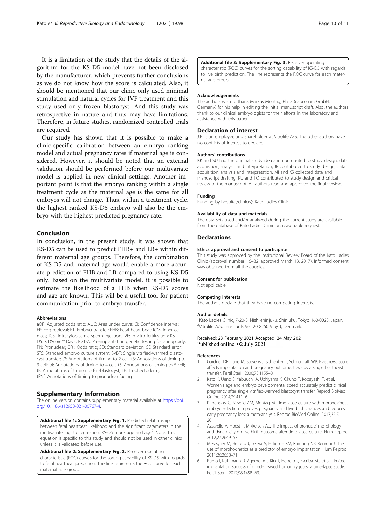<span id="page-9-0"></span>It is a limitation of the study that the details of the algorithm for the KS-D5 model have not been disclosed by the manufacturer, which prevents further conclusions as we do not know how the score is calculated. Also, it should be mentioned that our clinic only used minimal stimulation and natural cycles for IVF treatment and this study used only frozen blastocyst. And this study was retrospective in nature and thus may have limitations. Therefore, in future studies, randomized controlled trials are required.

Our study has shown that it is possible to make a clinic-specific calibration between an embryo ranking model and actual pregnancy rates if maternal age is considered. However, it should be noted that an external validation should be performed before our multivariate model is applied in new clinical settings. Another important point is that the embryo ranking within a single treatment cycle as the maternal age is the same for all embryos will not change. Thus, within a treatment cycle, the highest ranked KS-D5 embryo will also be the embryo with the highest predicted pregnancy rate.

# Conclusion

In conclusion, in the present study, it was shown that KS-D5 can be used to predict FHB+ and LB+ within different maternal age groups. Therefore, the combination of KS-D5 and maternal age would enable a more accurate prediction of FHB and LB compared to using KS-D5 only. Based on the multivariate model, it is possible to estimate the likelihood of a FHB when KS-D5 scores and age are known. This will be a useful tool for patient communication prior to embryo transfer.

#### Abbreviations

aOR: Adjusted odds ratio; AUC: Area under curve; CI: Confidence interval; ER: Egg retrieval; ET: Embryo transfer; FHB: Fetal heart beat; ICM: Inner cell mass; ICSI: Intracytoplasmic sperm injection; IVF: In-vitro fertilization; KS-D5: KIDScore™ Day5; PGT-A: Pre-implantation genetic testing for aneuploidy; PN: Pronuclear; OR : Odds ratio; SD: Standard deviation; SE: Standard error; STS: Standard embryo culture system; SVBT: Single vitrified-warmed blastocyst transfer; t2: Annotations of timing to 2-cell; t3: Annotations of timing to 3-cell; t4: Annotations of timing to 4-cell; t5: Annotations of timing to 5-cell; tB: Annotations of timing to full-blastocyst; TE: Trophectoderm; tPNf: Annotations of timing to pronuclear fading

#### Supplementary Information

The online version contains supplementary material available at [https://doi.](https://doi.org/10.1186/s12958-021-00767-4) [org/10.1186/s12958-021-00767-4.](https://doi.org/10.1186/s12958-021-00767-4)

Additional file 1: Supplementary Fig. 1. Predicted relationship between fetal heartbeat likelihood and the significant parameters in the multivariate logistic regression: KS-D5 score, age and age<sup>2</sup>. Note: This equation is specific to this study and should not be used in other clinics unless it is validated before use.

Additional file 2: Supplementary Fig. 2. Receiver operating characteristic (ROC) curves for the sorting capability of KS-D5 with regards to fetal heartbeat prediction. The line represents the ROC curve for each maternal age group.

#### Additional file 3: Supplementary Fig. 3. Receiver operating characteristic (ROC) curves for the sorting capability of KS-D5 with regards

to live birth prediction. The line represents the ROC curve for each maternal age group.

#### Acknowledgements

The authors wish to thank Markus Montag, Ph.D. (ilabcomm GmbH, Germany) for his help in editing the initial manuscript draft. Also, the authors thank to our clinical embryologists for their efforts in the laboratory and assistance with this paper.

#### Declaration of interest

J.B. is an employee and shareholder at Vitrolife A/S. The other authors have no conflicts of interest to declare.

#### Authors' contributions

KK and SU had the original study idea and contributed to study design, data acquisition, analysis and interpretation, JB contributed to study design, data acquisition, analysis and interpretation, MI and KS collected data and manuscript drafting, KU and TO contributed to study design and critical review of the manuscript. All authors read and approved the final version.

#### Funding

Funding by hospital/clinic(s): Kato Ladies Clinic.

#### Availability of data and materials

The data sets used and/or analyzed during the current study are available from the database of Kato Ladies Clinic on reasonable request.

### **Declarations**

#### Ethics approval and consent to participate

This study was approved by the Institutional Review Board of the Kato Ladies Clinic (approval number: 16–32, approved March 13, 2017). Informed consent was obtained from all the couples.

#### Consent for publication

Not applicable.

#### Competing interests

The authors declare that they have no competing interests.

#### Author details

<sup>1</sup> Kato Ladies Clinic, 7-20-3, Nishi-shinjuku, Shinjuku, Tokyo 160-0023, Japan <sup>2</sup>Vitrolife A/S, Jens Juuls Vej, 20 8260 Viby J, Denmark

#### Received: 23 February 2021 Accepted: 24 May 2021 Published online: 02 July 2021

#### References

- Gardner DK, Lane M, Stevens J, Schlenker T, Schoolcraft WB. Blastocyst score affects implantation and pregnancy outcome: towards a single blastocyst transfer. Fertil Steril. 2000;73:1155–8.
- Kato K, Ueno S, Yabuuchi A, Uchiyama K, Okuno T, Kobayashi T, et al. Women's age and embryo developmental speed accurately predict clinical pregnancy after single vitrified-warmed blastocyst transfer. Reprod BioMed Online. 2014;29:411–6.
- 3. Pribenszky C, Nilselid AM, Montag M. Time-lapse culture with morphokinetic embryo selection improves pregnancy and live birth chances and reduces early pregnancy loss: a meta-analysis. Reprod BioMed Online. 2017;35:511– 20.
- 4. Azzarello A, Hoest T, Mikkelsen AL. The impact of pronuclei morphology and dynamicity on live birth outcome after time-lapse culture. Hum Reprod. 2012;27:2649–57.
- 5. Meseguer M, Herrero J, Tejera A, Hilligsoe KM, Ramsing NB, Remohi J. The use of morphokinetics as a predictor of embryo implantation. Hum Reprod. 2011;26:2658–71.
- 6. Rubio I, Kuhlmann R, Agerholm I, Kirk J, Herrero J, Escriba MJ, et al. Limited implantation success of direct-cleaved human zygotes: a time-lapse study. Fertil Steril. 2012;98:1458–63.